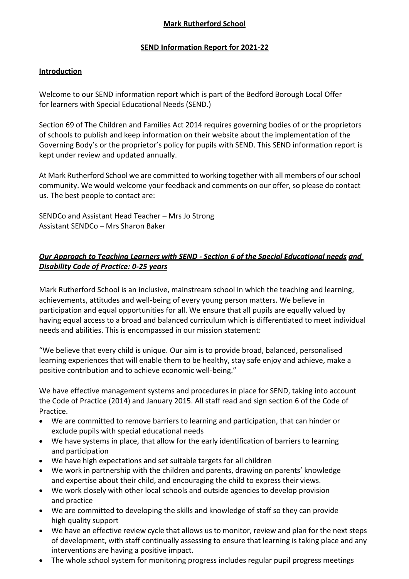# **Mark Rutherford School**

### **SEND Information Report for 2021-22**

### **Introduction**

Welcome to our SEND information report which is part of the Bedford Borough Local Offer for learners with Special Educational Needs (SEND.)

Section 69 of The Children and Families Act 2014 requires governing bodies of or the proprietors of schools to publish and keep information on their website about the implementation of the Governing Body's or the proprietor's policy for pupils with SEND. This SEND information report is kept under review and updated annually.

At Mark Rutherford School we are committed to working together with all members of our school community. We would welcome your feedback and comments on our offer, so please do contact us. The best people to contact are:

SENDCo and Assistant Head Teacher – Mrs Jo Strong Assistant SENDCo – Mrs Sharon Baker

# *Our Approach to Teaching Learners with SEND - Section 6 of the Special Educational needs and Disability Code of Practice: 0-25 years*

Mark Rutherford School is an inclusive, mainstream school in which the teaching and learning, achievements, attitudes and well-being of every young person matters. We believe in participation and equal opportunities for all. We ensure that all pupils are equally valued by having equal access to a broad and balanced curriculum which is differentiated to meet individual needs and abilities. This is encompassed in our mission statement:

"We believe that every child is unique. Our aim is to provide broad, balanced, personalised learning experiences that will enable them to be healthy, stay safe enjoy and achieve, make a positive contribution and to achieve economic well-being."

We have effective management systems and procedures in place for SEND, taking into account the Code of Practice (2014) and January 2015. All staff read and sign section 6 of the Code of Practice.

- We are committed to remove barriers to learning and participation, that can hinder or exclude pupils with special educational needs
- We have systems in place, that allow for the early identification of barriers to learning and participation
- We have high expectations and set suitable targets for all children
- We work in partnership with the children and parents, drawing on parents' knowledge and expertise about their child, and encouraging the child to express their views.
- We work closely with other local schools and outside agencies to develop provision and practice
- We are committed to developing the skills and knowledge of staff so they can provide high quality support
- We have an effective review cycle that allows us to monitor, review and plan for the next steps of development, with staff continually assessing to ensure that learning is taking place and any interventions are having a positive impact.
- The whole school system for monitoring progress includes regular pupil progress meetings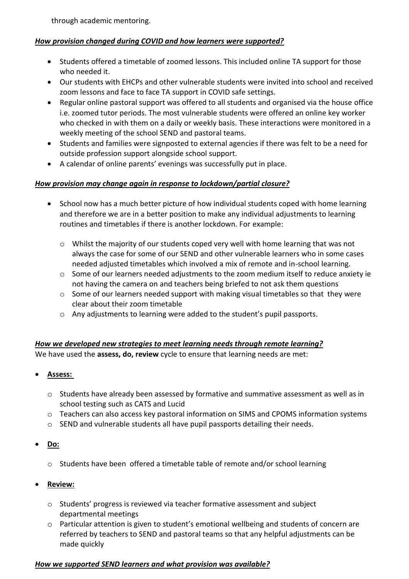through academic mentoring.

### *How provision changed during COVID and how learners were supported?*

- Students offered a timetable of zoomed lessons. This included online TA support for those who needed it.
- Our students with EHCPs and other vulnerable students were invited into school and received zoom lessons and face to face TA support in COVID safe settings.
- Regular online pastoral support was offered to all students and organised via the house office i.e. zoomed tutor periods. The most vulnerable students were offered an online key worker who checked in with them on a daily or weekly basis. These interactions were monitored in a weekly meeting of the school SEND and pastoral teams.
- Students and families were signposted to external agencies if there was felt to be a need for outside profession support alongside school support.
- A calendar of online parents' evenings was successfully put in place.

### *How provision may change again in response to lockdown/partial closure?*

- School now has a much better picture of how individual students coped with home learning and therefore we are in a better position to make any individual adjustments to learning routines and timetables if there is another lockdown. For example:
	- o Whilst the majority of our students coped very well with home learning that was not always the case for some of our SEND and other vulnerable learners who in some cases needed adjusted timetables which involved a mix of remote and in-school learning.
	- $\circ$  Some of our learners needed adjustments to the zoom medium itself to reduce anxiety ie not having the camera on and teachers being briefed to not ask them questions
	- $\circ$  Some of our learners needed support with making visual timetables so that they were clear about their zoom timetable
	- o Any adjustments to learning were added to the student's pupil passports.

### *How we developed new strategies to meet learning needs through remote learning?*

We have used the **assess, do, review** cycle to ensure that learning needs are met:

### • **Assess:**

- $\circ$  Students have already been assessed by formative and summative assessment as well as in school testing such as CATS and Lucid
- o Teachers can also access key pastoral information on SIMS and CPOMS information systems
- o SEND and vulnerable students all have pupil passports detailing their needs.
- **Do:**
	- $\circ$  Students have been offered a timetable table of remote and/or school learning

# • **Review:**

- $\circ$  Students' progress is reviewed via teacher formative assessment and subject departmental meetings
- $\circ$  Particular attention is given to student's emotional wellbeing and students of concern are referred by teachers to SEND and pastoral teams so that any helpful adjustments can be made quickly

### *How we supported SEND learners and what provision was available?*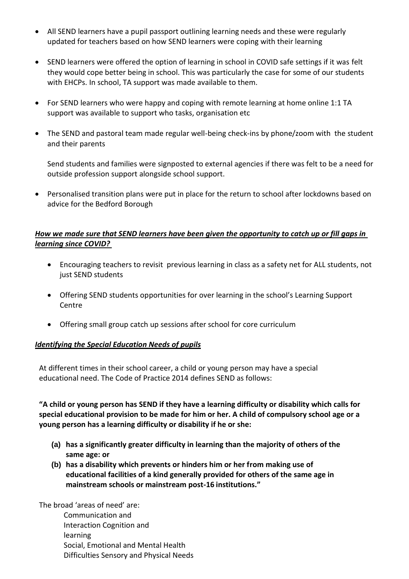- All SEND learners have a pupil passport outlining learning needs and these were regularly updated for teachers based on how SEND learners were coping with their learning
- SEND learners were offered the option of learning in school in COVID safe settings if it was felt they would cope better being in school. This was particularly the case for some of our students with EHCPs. In school, TA support was made available to them.
- For SEND learners who were happy and coping with remote learning at home online 1:1 TA support was available to support who tasks, organisation etc
- The SEND and pastoral team made regular well-being check-ins by phone/zoom with the student and their parents

Send students and families were signposted to external agencies if there was felt to be a need for outside profession support alongside school support.

• Personalised transition plans were put in place for the return to school after lockdowns based on advice for the Bedford Borough

### *How we made sure that SEND learners have been given the opportunity to catch up or fill gaps in learning since COVID?*

- Encouraging teachers to revisit previous learning in class as a safety net for ALL students, not just SEND students
- Offering SEND students opportunities for over learning in the school's Learning Support Centre
- Offering small group catch up sessions after school for core curriculum

### *Identifying the Special Education Needs of pupils*

At different times in their school career, a child or young person may have a special educational need. The Code of Practice 2014 defines SEND as follows:

**"A child or young person has SEND if they have a learning difficulty or disability which calls for special educational provision to be made for him or her. A child of compulsory school age or a young person has a learning difficulty or disability if he or she:**

- **(a) has a significantly greater difficulty in learning than the majority of others of the same age: or**
- **(b) has a disability which prevents or hinders him or her from making use of educational facilities of a kind generally provided for others of the same age in mainstream schools or mainstream post-16 institutions."**

The broad 'areas of need' are: Communication and Interaction Cognition and learning Social, Emotional and Mental Health Difficulties Sensory and Physical Needs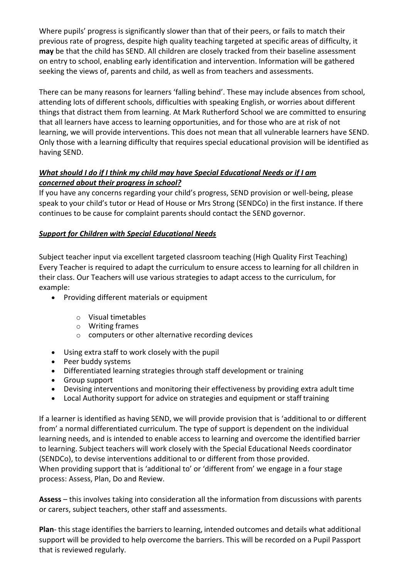Where pupils' progress is significantly slower than that of their peers, or fails to match their previous rate of progress, despite high quality teaching targeted at specific areas of difficulty, it **may** be that the child has SEND. All children are closely tracked from their baseline assessment on entry to school, enabling early identification and intervention. Information will be gathered seeking the views of, parents and child, as well as from teachers and assessments.

There can be many reasons for learners 'falling behind'. These may include absences from school, attending lots of different schools, difficulties with speaking English, or worries about different things that distract them from learning. At Mark Rutherford School we are committed to ensuring that all learners have access to learning opportunities, and for those who are at risk of not learning, we will provide interventions. This does not mean that all vulnerable learners have SEND. Only those with a learning difficulty that requires special educational provision will be identified as having SEND.

# *What should I do if I think my child may have Special Educational Needs or if I am concerned about their progress in school?*

If you have any concerns regarding your child's progress, SEND provision or well-being, please speak to your child's tutor or Head of House or Mrs Strong (SENDCo) in the first instance. If there continues to be cause for complaint parents should contact the SEND governor.

# *Support for Children with Special Educational Needs*

Subject teacher input via excellent targeted classroom teaching (High Quality First Teaching) Every Teacher is required to adapt the curriculum to ensure access to learning for all children in their class. Our Teachers will use various strategies to adapt access to the curriculum, for example:

- Providing different materials or equipment
	- o Visual timetables
	- o Writing frames
	- o computers or other alternative recording devices
- Using extra staff to work closely with the pupil
- Peer buddy systems
- Differentiated learning strategies through staff development or training
- Group support
- Devising interventions and monitoring their effectiveness by providing extra adult time
- Local Authority support for advice on strategies and equipment or staff training

If a learner is identified as having SEND, we will provide provision that is 'additional to or different from' a normal differentiated curriculum. The type of support is dependent on the individual learning needs, and is intended to enable access to learning and overcome the identified barrier to learning. Subject teachers will work closely with the Special Educational Needs coordinator (SENDCo), to devise interventions additional to or different from those provided. When providing support that is 'additional to' or 'different from' we engage in a four stage process: Assess, Plan, Do and Review.

**Assess** – this involves taking into consideration all the information from discussions with parents or carers, subject teachers, other staff and assessments.

**Plan**- this stage identifies the barriers to learning, intended outcomes and details what additional support will be provided to help overcome the barriers. This will be recorded on a Pupil Passport that is reviewed regularly.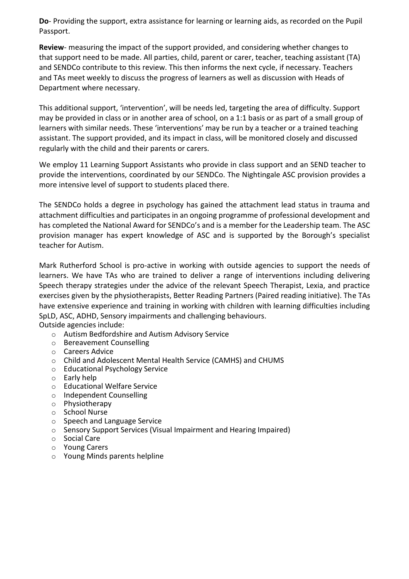**Do**- Providing the support, extra assistance for learning or learning aids, as recorded on the Pupil Passport.

**Review**- measuring the impact of the support provided, and considering whether changes to that support need to be made. All parties, child, parent or carer, teacher, teaching assistant (TA) and SENDCo contribute to this review. This then informs the next cycle, if necessary. Teachers and TAs meet weekly to discuss the progress of learners as well as discussion with Heads of Department where necessary.

This additional support, 'intervention', will be needs led, targeting the area of difficulty. Support may be provided in class or in another area of school, on a 1:1 basis or as part of a small group of learners with similar needs. These 'interventions' may be run by a teacher or a trained teaching assistant. The support provided, and its impact in class, will be monitored closely and discussed regularly with the child and their parents or carers.

We employ 11 Learning Support Assistants who provide in class support and an SEND teacher to provide the interventions, coordinated by our SENDCo. The Nightingale ASC provision provides a more intensive level of support to students placed there.

The SENDCo holds a degree in psychology has gained the attachment lead status in trauma and attachment difficulties and participates in an ongoing programme of professional development and has completed the National Award for SENDCo's and is a member for the Leadership team. The ASC provision manager has expert knowledge of ASC and is supported by the Borough's specialist teacher for Autism.

Mark Rutherford School is pro-active in working with outside agencies to support the needs of learners. We have TAs who are trained to deliver a range of interventions including delivering Speech therapy strategies under the advice of the relevant Speech Therapist, Lexia, and practice exercises given by the physiotherapists, Better Reading Partners (Paired reading initiative). The TAs have extensive experience and training in working with children with learning difficulties including SpLD, ASC, ADHD, Sensory impairments and challenging behaviours. Outside agencies include:

- o Autism Bedfordshire and Autism Advisory Service
- o Bereavement Counselling
- o Careers Advice
- o Child and Adolescent Mental Health Service (CAMHS) and CHUMS
- o Educational Psychology Service
- o Early help
- o Educational Welfare Service
- o Independent Counselling
- o Physiotherapy
- o School Nurse
- o Speech and Language Service
- o Sensory Support Services (Visual Impairment and Hearing Impaired)
- o Social Care
- o Young Carers
- o Young Minds parents helpline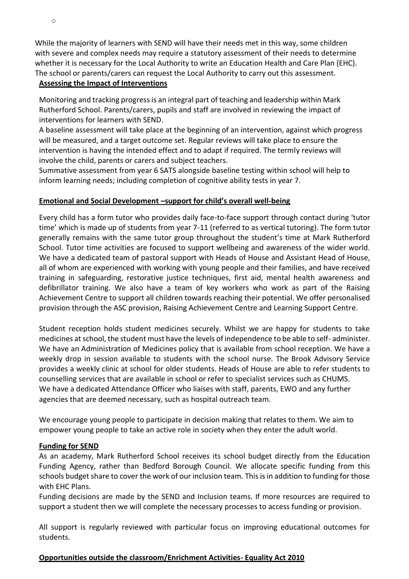While the majority of learners with SEND will have their needs met in this way, some children with severe and complex needs may require a statutory assessment of their needs to determine whether it is necessary for the Local Authority to write an Education Health and Care Plan (EHC). The school or parents/carers can request the Local Authority to carry out this assessment.

#### **Assessing the Impact of Interventions**

Monitoring and tracking progress is an integral part of teaching and leadership within Mark Rutherford School. Parents/carers, pupils and staff are involved in reviewing the impact of interventions for learners with SEND.

A baseline assessment will take place at the beginning of an intervention, against which progress will be measured, and a target outcome set. Regular reviews will take place to ensure the intervention is having the intended effect and to adapt if required. The termly reviews will involve the child, parents or carers and subject teachers.

Summative assessment from year 6 SATS alongside baseline testing within school will help to inform learning needs; including completion of cognitive ability tests in year 7.

### **Emotional and Social Development –support for child's overall well-being**

Every child has a form tutor who provides daily face-to-face support through contact during 'tutor time' which is made up of students from year 7-11 (referred to as vertical tutoring). The form tutor generally remains with the same tutor group throughout the student's time at Mark Rutherford School. Tutor time activities are focused to support wellbeing and awareness of the wider world. We have a dedicated team of pastoral support with Heads of House and Assistant Head of House, all of whom are experienced with working with young people and their families, and have received training in safeguarding, restorative justice techniques, first aid, mental health awareness and defibrillator training. We also have a team of key workers who work as part of the Raising Achievement Centre to support all children towards reaching their potential. We offer personalised provision through the ASC provision, Raising Achievement Centre and Learning Support Centre.

Student reception holds student medicines securely. Whilst we are happy for students to take medicines at school, the student must have the levels of independence to be able to self- administer. We have an Administration of Medicines policy that is available from school reception. We have a weekly drop in session available to students with the school nurse. The Brook Advisory Service provides a weekly clinic at school for older students. Heads of House are able to refer students to counselling services that are available in school or refer to specialist services such as CHUMS. We have a dedicated Attendance Officer who liaises with staff, parents, EWO and any further agencies that are deemed necessary, such as hospital outreach team.

We encourage young people to participate in decision making that relates to them. We aim to empower young people to take an active role in society when they enter the adult world.

### **Funding for SEND**

As an academy, Mark Rutherford School receives its school budget directly from the Education Funding Agency, rather than Bedford Borough Council. We allocate specific funding from this schools budget share to cover the work of our inclusion team. This is in addition to funding for those with EHC Plans.

Funding decisions are made by the SEND and Inclusion teams. If more resources are required to support a student then we will complete the necessary processes to access funding or provision.

All support is regularly reviewed with particular focus on improving educational outcomes for students.

### **Opportunities outside the classroom/Enrichment Activities- Equality Act 2010**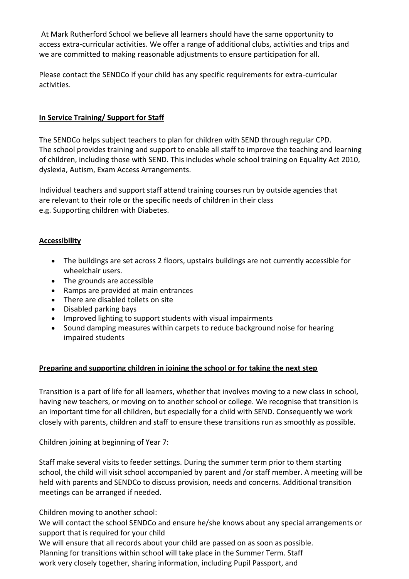At Mark Rutherford School we believe all learners should have the same opportunity to access extra-curricular activities. We offer a range of additional clubs, activities and trips and we are committed to making reasonable adjustments to ensure participation for all.

Please contact the SENDCo if your child has any specific requirements for extra-curricular activities.

### **In Service Training/ Support for Staff**

The SENDCo helps subject teachers to plan for children with SEND through regular CPD. The school provides training and support to enable all staff to improve the teaching and learning of children, including those with SEND. This includes whole school training on Equality Act 2010, dyslexia, Autism, Exam Access Arrangements.

Individual teachers and support staff attend training courses run by outside agencies that are relevant to their role or the specific needs of children in their class e.g. Supporting children with Diabetes.

### **Accessibility**

- The buildings are set across 2 floors, upstairs buildings are not currently accessible for wheelchair users.
- The grounds are accessible
- Ramps are provided at main entrances
- There are disabled toilets on site
- Disabled parking bays
- Improved lighting to support students with visual impairments
- Sound damping measures within carpets to reduce background noise for hearing impaired students

### **Preparing and supporting children in joining the school or for taking the next step**

Transition is a part of life for all learners, whether that involves moving to a new class in school, having new teachers, or moving on to another school or college. We recognise that transition is an important time for all children, but especially for a child with SEND. Consequently we work closely with parents, children and staff to ensure these transitions run as smoothly as possible.

Children joining at beginning of Year 7:

Staff make several visits to feeder settings. During the summer term prior to them starting school, the child will visit school accompanied by parent and /or staff member. A meeting will be held with parents and SENDCo to discuss provision, needs and concerns. Additional transition meetings can be arranged if needed.

Children moving to another school:

We will contact the school SENDCo and ensure he/she knows about any special arrangements or support that is required for your child

We will ensure that all records about your child are passed on as soon as possible. Planning for transitions within school will take place in the Summer Term. Staff work very closely together, sharing information, including Pupil Passport, and